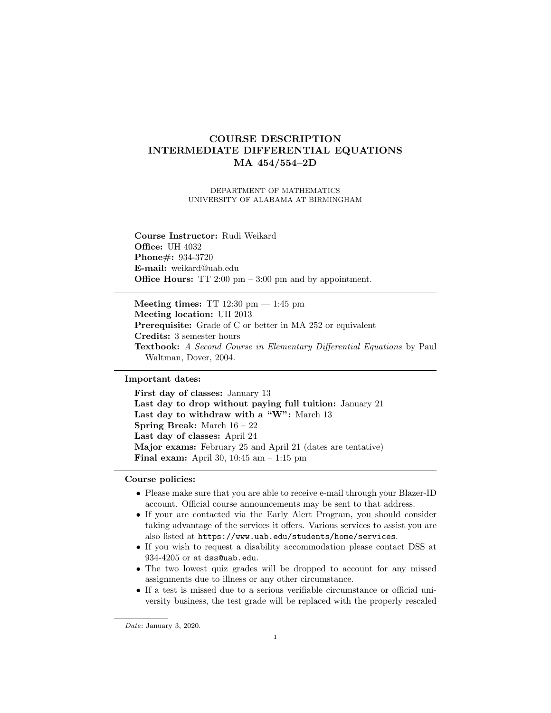# COURSE DESCRIPTION INTERMEDIATE DIFFERENTIAL EQUATIONS MA 454/554–2D

DEPARTMENT OF MATHEMATICS UNIVERSITY OF ALABAMA AT BIRMINGHAM

Course Instructor: Rudi Weikard **Office: UH 4032** Phone#: 934-3720 E-mail: weikard@uab.edu Office Hours: TT 2:00 pm – 3:00 pm and by appointment.

Meeting times: TT  $12:30 \text{ pm} - 1:45 \text{ pm}$ Meeting location: UH 2013 Prerequisite: Grade of C or better in MA 252 or equivalent Credits: 3 semester hours Textbook: A Second Course in Elementary Differential Equations by Paul Waltman, Dover, 2004.

## Important dates:

First day of classes: January 13 Last day to drop without paying full tuition: January 21 Last day to withdraw with a "W": March 13 Spring Break: March 16 – 22 Last day of classes: April 24 Major exams: February 25 and April 21 (dates are tentative) Final exam: April 30, 10:45 am – 1:15 pm

## Course policies:

- Please make sure that you are able to receive e-mail through your Blazer-ID account. Official course announcements may be sent to that address.
- If your are contacted via the Early Alert Program, you should consider taking advantage of the services it offers. Various services to assist you are also listed at https://www.uab.edu/students/home/services.
- If you wish to request a disability accommodation please contact DSS at 934-4205 or at dss@uab.edu.
- The two lowest quiz grades will be dropped to account for any missed assignments due to illness or any other circumstance.
- If a test is missed due to a serious verifiable circumstance or official university business, the test grade will be replaced with the properly rescaled

Date: January 3, 2020.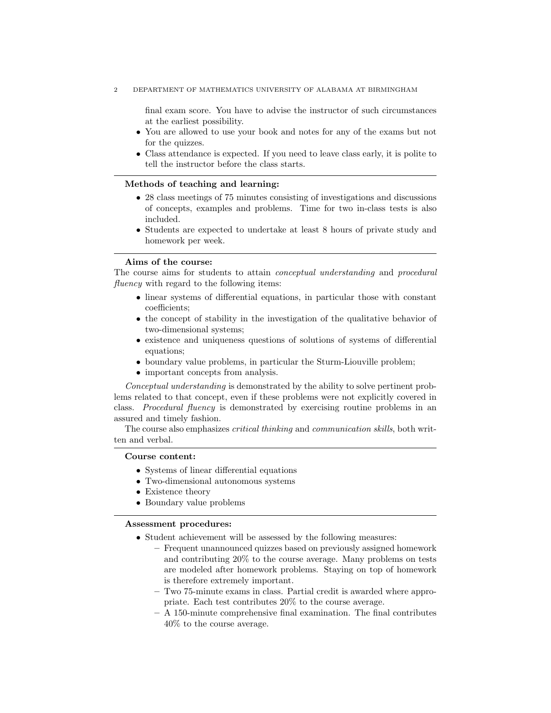final exam score. You have to advise the instructor of such circumstances at the earliest possibility.

- You are allowed to use your book and notes for any of the exams but not for the quizzes.
- Class attendance is expected. If you need to leave class early, it is polite to tell the instructor before the class starts.

## Methods of teaching and learning:

- 28 class meetings of 75 minutes consisting of investigations and discussions of concepts, examples and problems. Time for two in-class tests is also included.
- Students are expected to undertake at least 8 hours of private study and homework per week.

## Aims of the course:

The course aims for students to attain conceptual understanding and procedural fluency with regard to the following items:

- linear systems of differential equations, in particular those with constant coefficients;
- the concept of stability in the investigation of the qualitative behavior of two-dimensional systems;
- existence and uniqueness questions of solutions of systems of differential equations;
- boundary value problems, in particular the Sturm-Liouville problem;
- important concepts from analysis.

Conceptual understanding is demonstrated by the ability to solve pertinent problems related to that concept, even if these problems were not explicitly covered in class. Procedural fluency is demonstrated by exercising routine problems in an assured and timely fashion.

The course also emphasizes critical thinking and communication skills, both written and verbal.

## Course content:

- Systems of linear differential equations
- Two-dimensional autonomous systems
- Existence theory
- Boundary value problems

## Assessment procedures:

- Student achievement will be assessed by the following measures:
	- Frequent unannounced quizzes based on previously assigned homework and contributing 20% to the course average. Many problems on tests are modeled after homework problems. Staying on top of homework is therefore extremely important.
	- Two 75-minute exams in class. Partial credit is awarded where appropriate. Each test contributes 20% to the course average.
	- A 150-minute comprehensive final examination. The final contributes 40% to the course average.